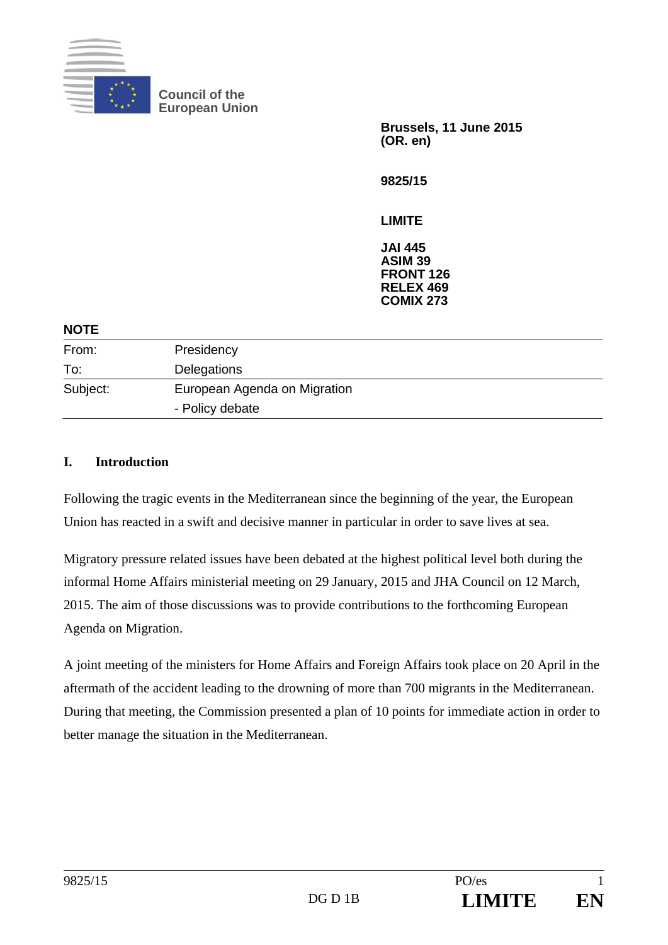

**Council of the European Union** 

> **Brussels, 11 June 2015 (OR. en)**

**9825/15** 

**LIMITE** 

**JAI 445 ASIM 39 FRONT 126 RELEX 469 COMIX 273** 

## **NOTE**

| .        |                                                 |
|----------|-------------------------------------------------|
| From:    | Presidency                                      |
| To:      | Delegations                                     |
| Subject: | European Agenda on Migration<br>- Policy debate |
|          |                                                 |

## **I. Introduction**

Following the tragic events in the Mediterranean since the beginning of the year, the European Union has reacted in a swift and decisive manner in particular in order to save lives at sea.

Migratory pressure related issues have been debated at the highest political level both during the informal Home Affairs ministerial meeting on 29 January, 2015 and JHA Council on 12 March, 2015. The aim of those discussions was to provide contributions to the forthcoming European Agenda on Migration.

A joint meeting of the ministers for Home Affairs and Foreign Affairs took place on 20 April in the aftermath of the accident leading to the drowning of more than 700 migrants in the Mediterranean. During that meeting, the Commission presented a plan of 10 points for immediate action in order to better manage the situation in the Mediterranean.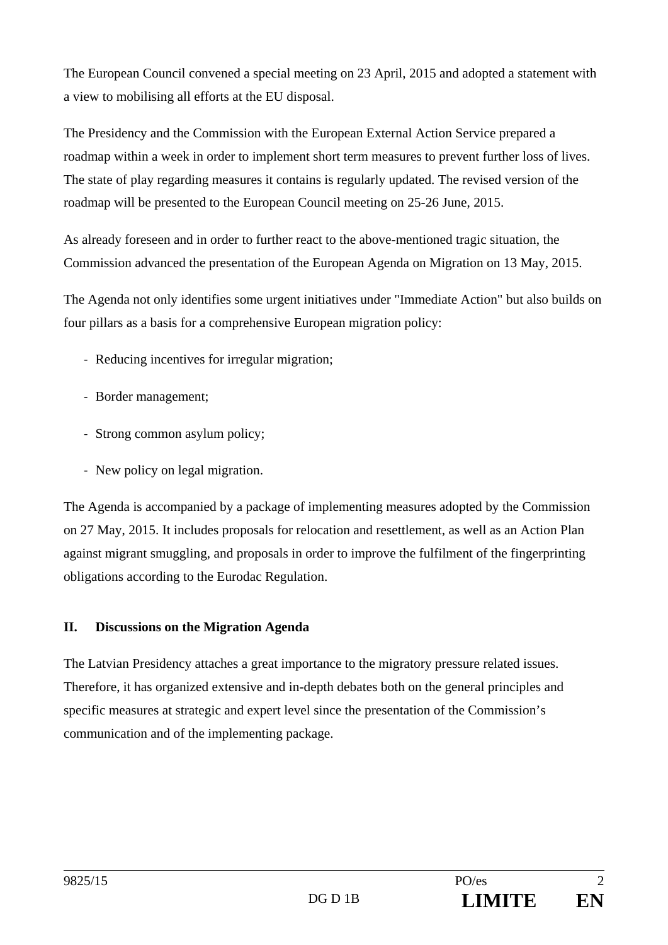The European Council convened a special meeting on 23 April, 2015 and adopted a statement with a view to mobilising all efforts at the EU disposal.

The Presidency and the Commission with the European External Action Service prepared a roadmap within a week in order to implement short term measures to prevent further loss of lives. The state of play regarding measures it contains is regularly updated. The revised version of the roadmap will be presented to the European Council meeting on 25-26 June, 2015.

As already foreseen and in order to further react to the above-mentioned tragic situation, the Commission advanced the presentation of the European Agenda on Migration on 13 May, 2015.

The Agenda not only identifies some urgent initiatives under "Immediate Action" but also builds on four pillars as a basis for a comprehensive European migration policy:

- ‐ Reducing incentives for irregular migration;
- ‐ Border management;
- ‐ Strong common asylum policy;
- ‐ New policy on legal migration.

The Agenda is accompanied by a package of implementing measures adopted by the Commission on 27 May, 2015. It includes proposals for relocation and resettlement, as well as an Action Plan against migrant smuggling, and proposals in order to improve the fulfilment of the fingerprinting obligations according to the Eurodac Regulation.

## **II. Discussions on the Migration Agenda**

The Latvian Presidency attaches a great importance to the migratory pressure related issues. Therefore, it has organized extensive and in-depth debates both on the general principles and specific measures at strategic and expert level since the presentation of the Commission's communication and of the implementing package.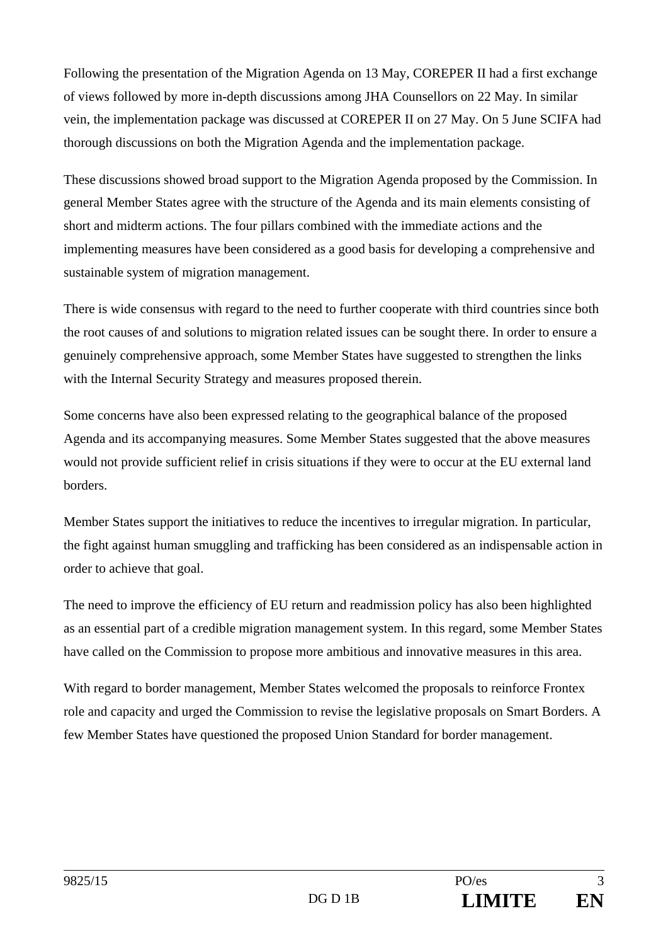Following the presentation of the Migration Agenda on 13 May, COREPER II had a first exchange of views followed by more in-depth discussions among JHA Counsellors on 22 May. In similar vein, the implementation package was discussed at COREPER II on 27 May. On 5 June SCIFA had thorough discussions on both the Migration Agenda and the implementation package.

These discussions showed broad support to the Migration Agenda proposed by the Commission. In general Member States agree with the structure of the Agenda and its main elements consisting of short and midterm actions. The four pillars combined with the immediate actions and the implementing measures have been considered as a good basis for developing a comprehensive and sustainable system of migration management.

There is wide consensus with regard to the need to further cooperate with third countries since both the root causes of and solutions to migration related issues can be sought there. In order to ensure a genuinely comprehensive approach, some Member States have suggested to strengthen the links with the Internal Security Strategy and measures proposed therein.

Some concerns have also been expressed relating to the geographical balance of the proposed Agenda and its accompanying measures. Some Member States suggested that the above measures would not provide sufficient relief in crisis situations if they were to occur at the EU external land borders.

Member States support the initiatives to reduce the incentives to irregular migration. In particular, the fight against human smuggling and trafficking has been considered as an indispensable action in order to achieve that goal.

The need to improve the efficiency of EU return and readmission policy has also been highlighted as an essential part of a credible migration management system. In this regard, some Member States have called on the Commission to propose more ambitious and innovative measures in this area.

With regard to border management, Member States welcomed the proposals to reinforce Frontex role and capacity and urged the Commission to revise the legislative proposals on Smart Borders. A few Member States have questioned the proposed Union Standard for border management.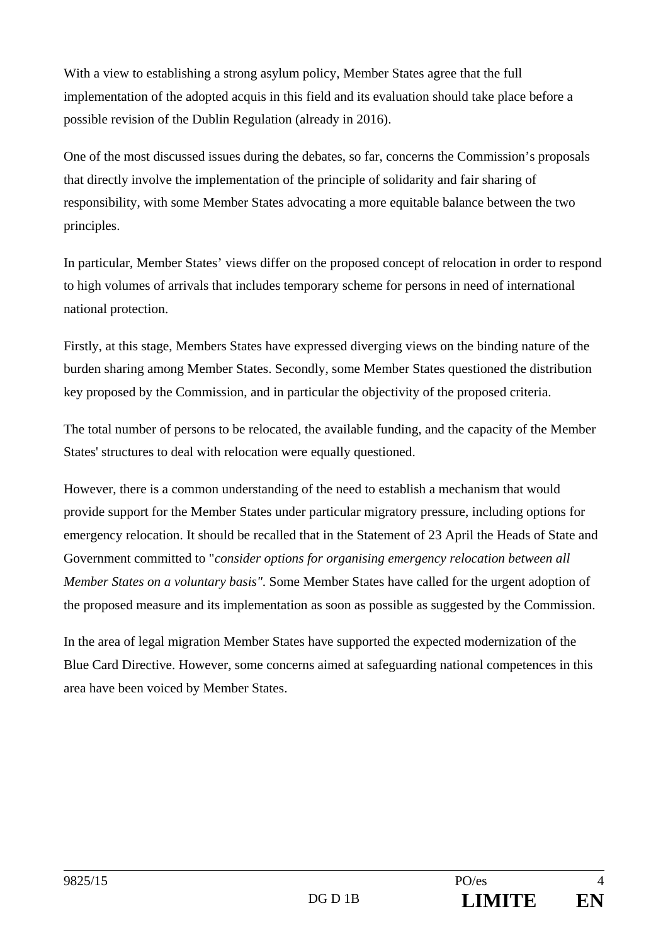With a view to establishing a strong asylum policy, Member States agree that the full implementation of the adopted acquis in this field and its evaluation should take place before a possible revision of the Dublin Regulation (already in 2016).

One of the most discussed issues during the debates, so far, concerns the Commission's proposals that directly involve the implementation of the principle of solidarity and fair sharing of responsibility, with some Member States advocating a more equitable balance between the two principles.

In particular, Member States' views differ on the proposed concept of relocation in order to respond to high volumes of arrivals that includes temporary scheme for persons in need of international national protection.

Firstly, at this stage, Members States have expressed diverging views on the binding nature of the burden sharing among Member States. Secondly, some Member States questioned the distribution key proposed by the Commission, and in particular the objectivity of the proposed criteria.

The total number of persons to be relocated, the available funding, and the capacity of the Member States' structures to deal with relocation were equally questioned.

However, there is a common understanding of the need to establish a mechanism that would provide support for the Member States under particular migratory pressure, including options for emergency relocation. It should be recalled that in the Statement of 23 April the Heads of State and Government committed to "*consider options for organising emergency relocation between all Member States on a voluntary basis"*. Some Member States have called for the urgent adoption of the proposed measure and its implementation as soon as possible as suggested by the Commission.

In the area of legal migration Member States have supported the expected modernization of the Blue Card Directive. However, some concerns aimed at safeguarding national competences in this area have been voiced by Member States.